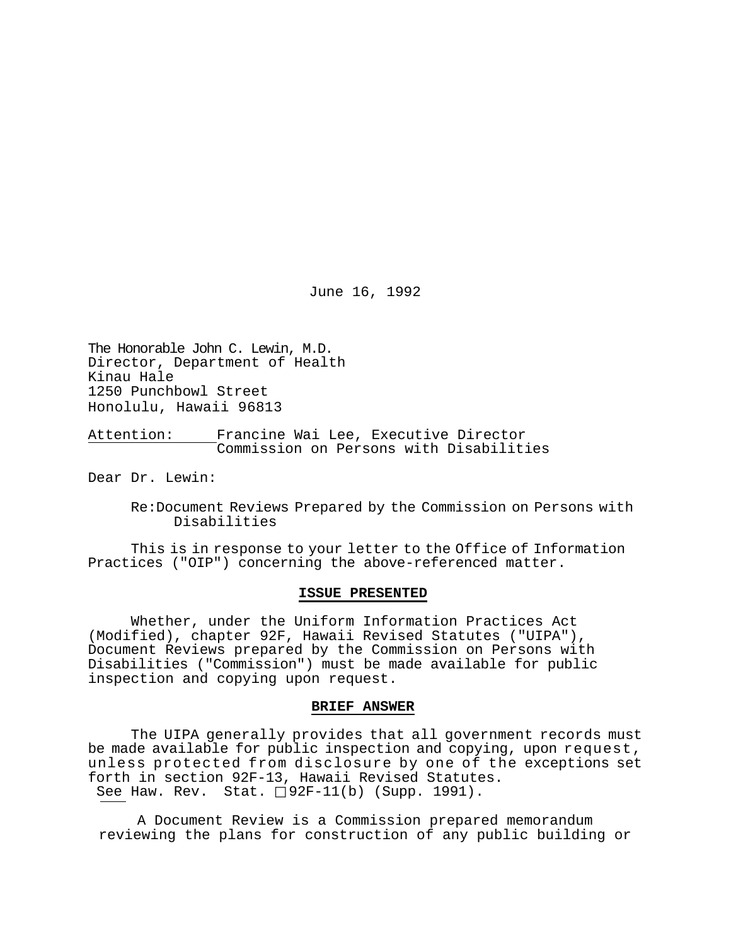June 16, 1992

The Honorable John C. Lewin, M.D. Director, Department of Health Kinau Hale 1250 Punchbowl Street Honolulu, Hawaii 96813

Attention: Francine Wai Lee, Executive Director Commission on Persons with Disabilities

Dear Dr. Lewin:

Re:Document Reviews Prepared by the Commission on Persons with Disabilities

This is in response to your letter to the Office of Information Practices ("OIP") concerning the above-referenced matter.

#### **ISSUE PRESENTED**

Whether, under the Uniform Information Practices Act (Modified), chapter 92F, Hawaii Revised Statutes ("UIPA"), Document Reviews prepared by the Commission on Persons with Disabilities ("Commission") must be made available for public inspection and copying upon request.

### **BRIEF ANSWER**

The UIPA generally provides that all government records must be made available for public inspection and copying, upon request, unless protected from disclosure by one of the exceptions set forth in section 92F-13, Hawaii Revised Statutes. See Haw. Rev. Stat.  $\Box$ 92F-11(b) (Supp. 1991).

A Document Review is a Commission prepared memorandum reviewing the plans for construction of any public building or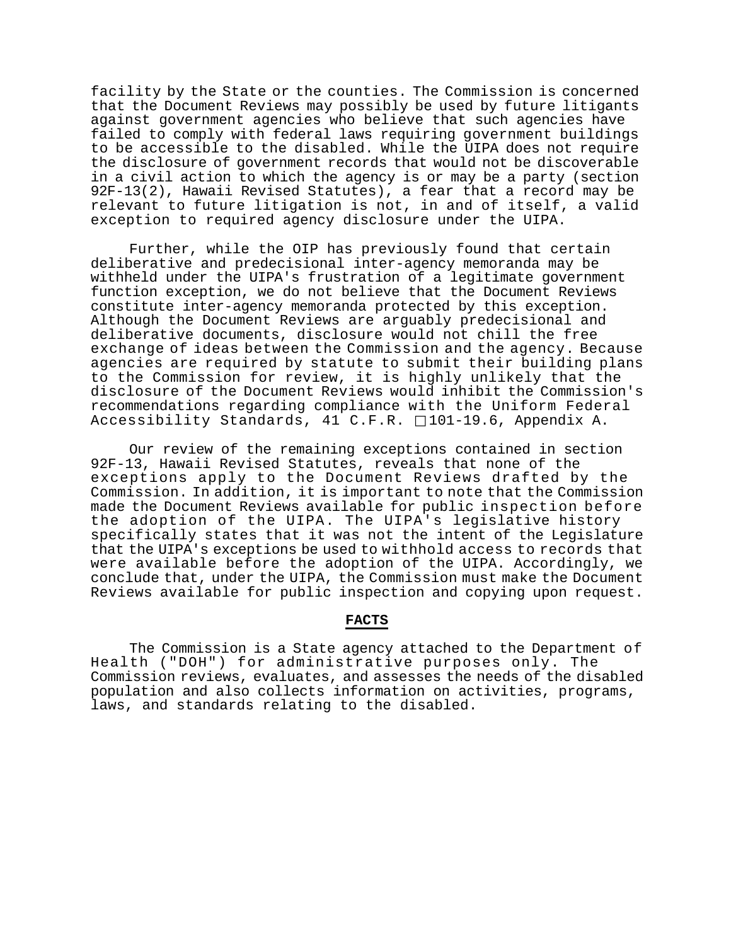facility by the State or the counties. The Commission is concerned that the Document Reviews may possibly be used by future litigants against government agencies who believe that such agencies have failed to comply with federal laws requiring government buildings to be accessible to the disabled. While the UIPA does not require the disclosure of government records that would not be discoverable in a civil action to which the agency is or may be a party (section 92F-13(2), Hawaii Revised Statutes), a fear that a record may be relevant to future litigation is not, in and of itself, a valid exception to required agency disclosure under the UIPA.

Further, while the OIP has previously found that certain deliberative and predecisional inter-agency memoranda may be withheld under the UIPA's frustration of a legitimate government function exception, we do not believe that the Document Reviews constitute inter-agency memoranda protected by this exception. Although the Document Reviews are arguably predecisional and deliberative documents, disclosure would not chill the free exchange of ideas between the Commission and the agency. Because agencies are required by statute to submit their building plans to the Commission for review, it is highly unlikely that the disclosure of the Document Reviews would inhibit the Commission's recommendations regarding compliance with the Uniform Federal Accessibility Standards, 41 C.F.R.  $\Box$ 101-19.6, Appendix A.

Our review of the remaining exceptions contained in section 92F-13, Hawaii Revised Statutes, reveals that none of the exceptions apply to the Document Reviews drafted by the Commission. In addition, it is important to note that the Commission made the Document Reviews available for public inspection before the adoption of the UIPA. The UIPA's legislative history specifically states that it was not the intent of the Legislature that the UIPA's exceptions be used to withhold access to records that were available before the adoption of the UIPA. Accordingly, we conclude that, under the UIPA, the Commission must make the Document Reviews available for public inspection and copying upon request.

#### **FACTS**

The Commission is a State agency attached to the Department of Health ("DOH") for administrative purposes only. The Commission reviews, evaluates, and assesses the needs of the disabled population and also collects information on activities, programs, laws, and standards relating to the disabled.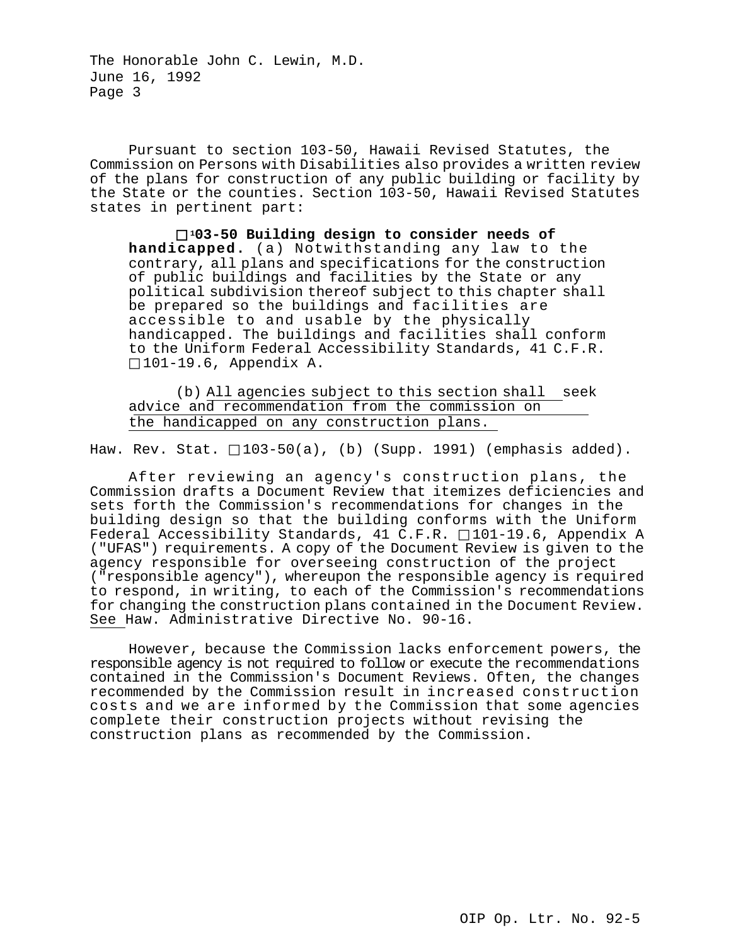Pursuant to section 103-50, Hawaii Revised Statutes, the Commission on Persons with Disabilities also provides a written review of the plans for construction of any public building or facility by the State or the counties. Section 103-50, Hawaii Revised Statutes states in pertinent part:

 **103-50 Building design to consider needs of handicapped.** (a) Notwithstanding any law to the contrary, all plans and specifications for the construction of public buildings and facilities by the State or any political subdivision thereof subject to this chapter shall be prepared so the buildings and facilities are accessible to and usable by the physically handicapped. The buildings and facilities shall conform to the Uniform Federal Accessibility Standards, 41 C.F.R. 101-19.6, Appendix A.

(b) All agencies subject to this section shall seek advice and recommendation from the commission on the handicapped on any construction plans.

Haw. Rev. Stat.  $\Box$ 103-50(a), (b) (Supp. 1991) (emphasis added).

After reviewing an agency's construction plans, the Commission drafts a Document Review that itemizes deficiencies and sets forth the Commission's recommendations for changes in the building design so that the building conforms with the Uniform Federal Accessibility Standards, 41 C.F.R.  $\Box$ 101-19.6, Appendix A ("UFAS") requirements. A copy of the Document Review is given to the agency responsible for overseeing construction of the project ("responsible agency"), whereupon the responsible agency is required to respond, in writing, to each of the Commission's recommendations for changing the construction plans contained in the Document Review. See Haw. Administrative Directive No. 90-16.

However, because the Commission lacks enforcement powers, the responsible agency is not required to follow or execute the recommendations contained in the Commission's Document Reviews. Often, the changes recommended by the Commission result in increased construction costs and we are informed by the Commission that some agencies complete their construction projects without revising the construction plans as recommended by the Commission.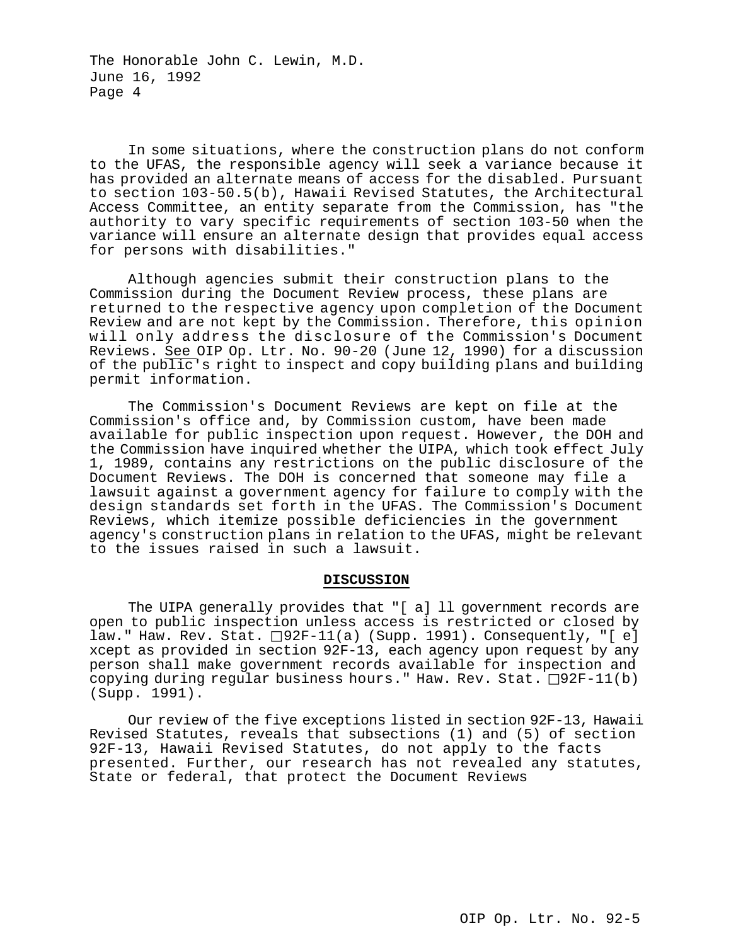In some situations, where the construction plans do not conform to the UFAS, the responsible agency will seek a variance because it has provided an alternate means of access for the disabled. Pursuant to section 103-50.5(b), Hawaii Revised Statutes, the Architectural Access Committee, an entity separate from the Commission, has "the authority to vary specific requirements of section 103-50 when the variance will ensure an alternate design that provides equal access for persons with disabilities."

Although agencies submit their construction plans to the Commission during the Document Review process, these plans are returned to the respective agency upon completion of the Document Review and are not kept by the Commission. Therefore, this opinion will only address the disclosure of the Commission's Document Reviews. See OIP Op. Ltr. No. 90-20 (June 12, 1990) for a discussion of the public's right to inspect and copy building plans and building permit information.

The Commission's Document Reviews are kept on file at the Commission's office and, by Commission custom, have been made available for public inspection upon request. However, the DOH and the Commission have inquired whether the UIPA, which took effect July 1, 1989, contains any restrictions on the public disclosure of the Document Reviews. The DOH is concerned that someone may file a lawsuit against a government agency for failure to comply with the design standards set forth in the UFAS. The Commission's Document Reviews, which itemize possible deficiencies in the government agency's construction plans in relation to the UFAS, might be relevant to the issues raised in such a lawsuit.

#### **DISCUSSION**

The UIPA generally provides that "[ a] ll government records are open to public inspection unless access is restricted or closed by law." Haw. Rev. Stat.  $\Box$ 92F-11(a) (Supp. 1991). Consequently, "[ e] xcept as provided in section 92F-13, each agency upon request by any person shall make government records available for inspection and copying during regular business hours." Haw. Rev. Stat.  $\Box$ 92F-11(b) (Supp. 1991).

Our review of the five exceptions listed in section 92F-13, Hawaii Revised Statutes, reveals that subsections (1) and (5) of section 92F-13, Hawaii Revised Statutes, do not apply to the facts presented. Further, our research has not revealed any statutes, State or federal, that protect the Document Reviews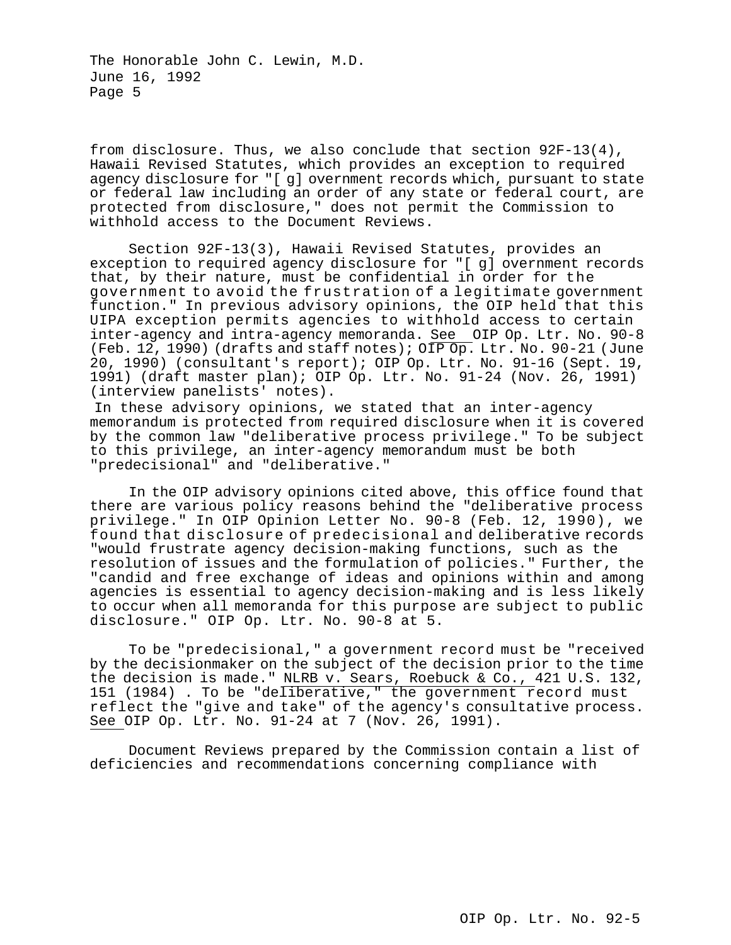from disclosure. Thus, we also conclude that section 92F-13(4), Hawaii Revised Statutes, which provides an exception to required agency disclosure for "[ g] overnment records which, pursuant to state or federal law including an order of any state or federal court, are protected from disclosure," does not permit the Commission to withhold access to the Document Reviews.

Section 92F-13(3), Hawaii Revised Statutes, provides an exception to required agency disclosure for "[ g] overnment records that, by their nature, must be confidential in order for the government to avoid the frustration of a legitimate government function." In previous advisory opinions, the OIP held that this UIPA exception permits agencies to withhold access to certain inter-agency and intra-agency memoranda. See OIP Op. Ltr. No. 90-8 (Feb. 12, 1990) (drafts and staff notes);  $\overline{OP}$  Op. Ltr. No. 90-21 (June 20, 1990) (consultant's report); OIP Op. Ltr. No. 91-16 (Sept. 19, 1991) (draft master plan); OIP Op. Ltr. No. 91-24 (Nov. 26, 1991) (interview panelists' notes).

In these advisory opinions, we stated that an inter-agency memorandum is protected from required disclosure when it is covered by the common law "deliberative process privilege." To be subject to this privilege, an inter-agency memorandum must be both "predecisional" and "deliberative."

In the OIP advisory opinions cited above, this office found that there are various policy reasons behind the "deliberative process privilege." In OIP Opinion Letter No. 90-8 (Feb. 12, 1990), we found that disclosure of predecisional and deliberative records "would frustrate agency decision-making functions, such as the resolution of issues and the formulation of policies." Further, the "candid and free exchange of ideas and opinions within and among agencies is essential to agency decision-making and is less likely to occur when all memoranda for this purpose are subject to public disclosure." OIP Op. Ltr. No. 90-8 at 5.

To be "predecisional," a government record must be "received by the decisionmaker on the subject of the decision prior to the time the decision is made." NLRB v. Sears, Roebuck & Co., 421 U.S. 132, 151 (1984) . To be "deliberative," the government record must reflect the "give and take" of the agency's consultative process. See OIP Op. Ltr. No. 91-24 at 7 (Nov. 26, 1991).

Document Reviews prepared by the Commission contain a list of deficiencies and recommendations concerning compliance with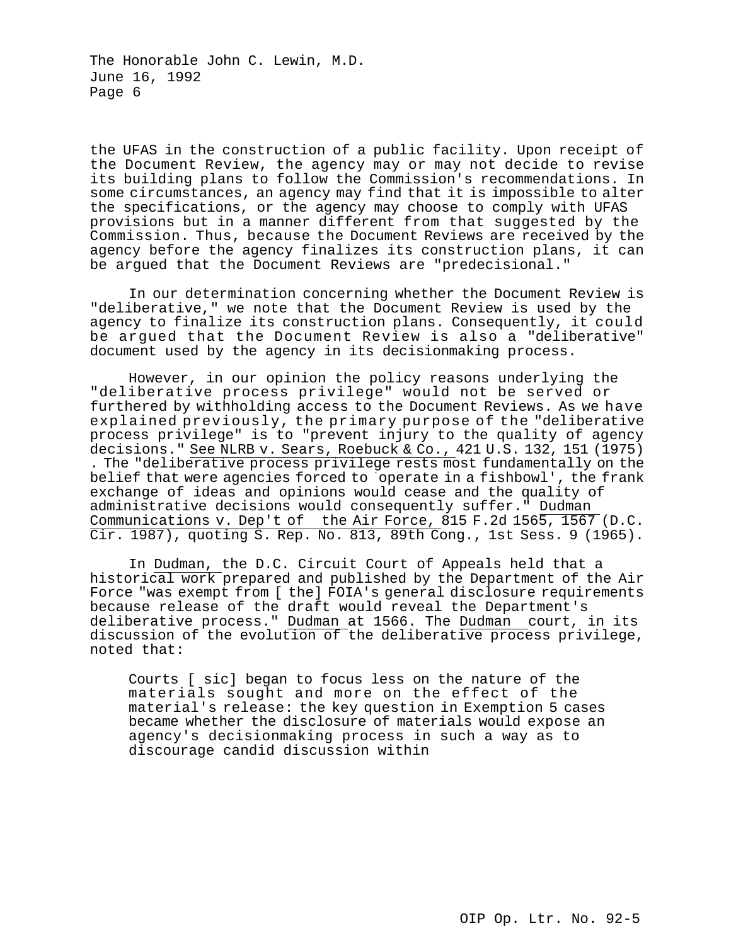the UFAS in the construction of a public facility. Upon receipt of the Document Review, the agency may or may not decide to revise its building plans to follow the Commission's recommendations. In some circumstances, an agency may find that it is impossible to alter the specifications, or the agency may choose to comply with UFAS provisions but in a manner different from that suggested by the Commission. Thus, because the Document Reviews are received by the agency before the agency finalizes its construction plans, it can be argued that the Document Reviews are "predecisional."

In our determination concerning whether the Document Review is "deliberative," we note that the Document Review is used by the agency to finalize its construction plans. Consequently, it could be argued that the Document Review is also a "deliberative" document used by the agency in its decisionmaking process.

However, in our opinion the policy reasons underlying the "deliberative process privilege" would not be served or furthered by withholding access to the Document Reviews. As we have explained previously, the primary purpose of the "deliberative process privilege" is to "prevent injury to the quality of agency decisions." See NLRB v. Sears, Roebuck & Co., 421 U.S. 132, 151 (1975) . The "deliberative process privilege rests most fundamentally on the belief that were agencies forced to `operate in a fishbowl', the frank exchange of ideas and opinions would cease and the quality of administrative decisions would consequently suffer." Dudman Communications v. Dep't of the Air Force, 815 F.2d 1565, 1567 (D.C. Cir. 1987), quoting S. Rep. No. 813, 89th Cong., 1st Sess. 9 (1965).

In Dudman, the D.C. Circuit Court of Appeals held that a historical work prepared and published by the Department of the Air Force "was exempt from [ the] FOIA's general disclosure requirements because release of the draft would reveal the Department's deliberative process." Dudman at 1566. The Dudman court, in its discussion of the evolution of the deliberative process privilege, noted that:

Courts [ sic] began to focus less on the nature of the materials sought and more on the effect of the material's release: the key question in Exemption 5 cases became whether the disclosure of materials would expose an agency's decisionmaking process in such a way as to discourage candid discussion within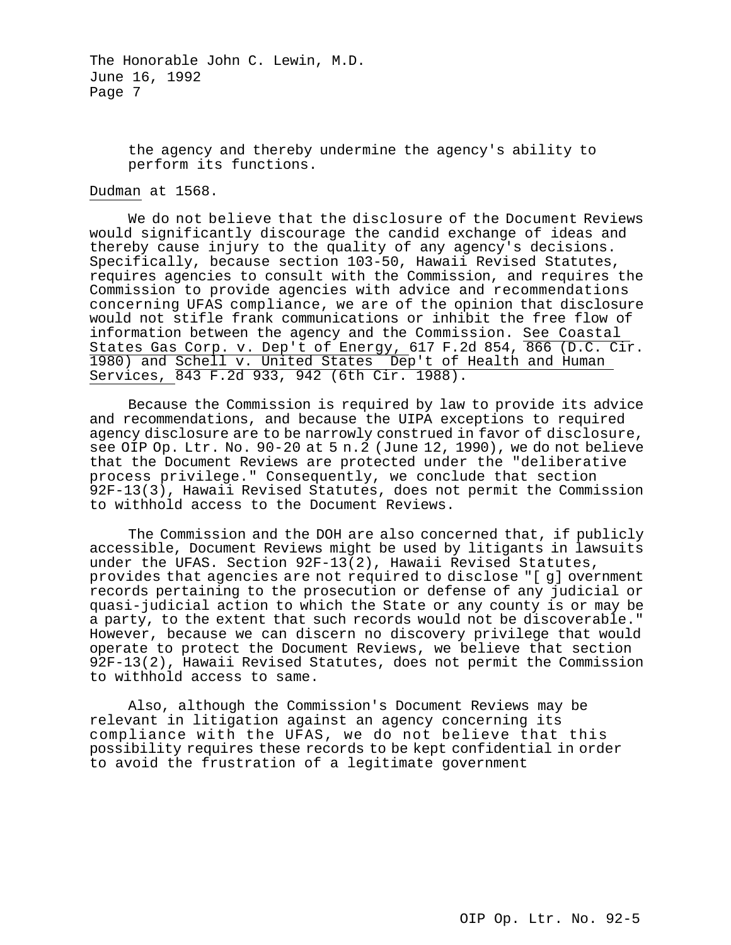> the agency and thereby undermine the agency's ability to perform its functions.

# Dudman at 1568.

We do not believe that the disclosure of the Document Reviews would significantly discourage the candid exchange of ideas and thereby cause injury to the quality of any agency's decisions. Specifically, because section 103-50, Hawaii Revised Statutes, requires agencies to consult with the Commission, and requires the Commission to provide agencies with advice and recommendations concerning UFAS compliance, we are of the opinion that disclosure would not stifle frank communications or inhibit the free flow of information between the agency and the Commission. See Coastal States Gas Corp. v. Dep't of Energy, 617 F.2d 854, 866 (D.C. Cir. 1980) and Schell v. United States Dep't of Health and Human Services, 843 F.2d 933, 942 (6th Cir. 1988).

Because the Commission is required by law to provide its advice and recommendations, and because the UIPA exceptions to required agency disclosure are to be narrowly construed in favor of disclosure, see OIP Op. Ltr. No. 90-20 at 5 n.2 (June 12, 1990), we do not believe that the Document Reviews are protected under the "deliberative process privilege." Consequently, we conclude that section 92F-13(3), Hawaii Revised Statutes, does not permit the Commission to withhold access to the Document Reviews.

The Commission and the DOH are also concerned that, if publicly accessible, Document Reviews might be used by litigants in lawsuits under the UFAS. Section 92F-13(2), Hawaii Revised Statutes, provides that agencies are not required to disclose "[ g] overnment records pertaining to the prosecution or defense of any judicial or quasi-judicial action to which the State or any county is or may be a party, to the extent that such records would not be discoverable." However, because we can discern no discovery privilege that would operate to protect the Document Reviews, we believe that section 92F-13(2), Hawaii Revised Statutes, does not permit the Commission to withhold access to same.

Also, although the Commission's Document Reviews may be relevant in litigation against an agency concerning its compliance with the UFAS, we do not believe that this possibility requires these records to be kept confidential in order to avoid the frustration of a legitimate government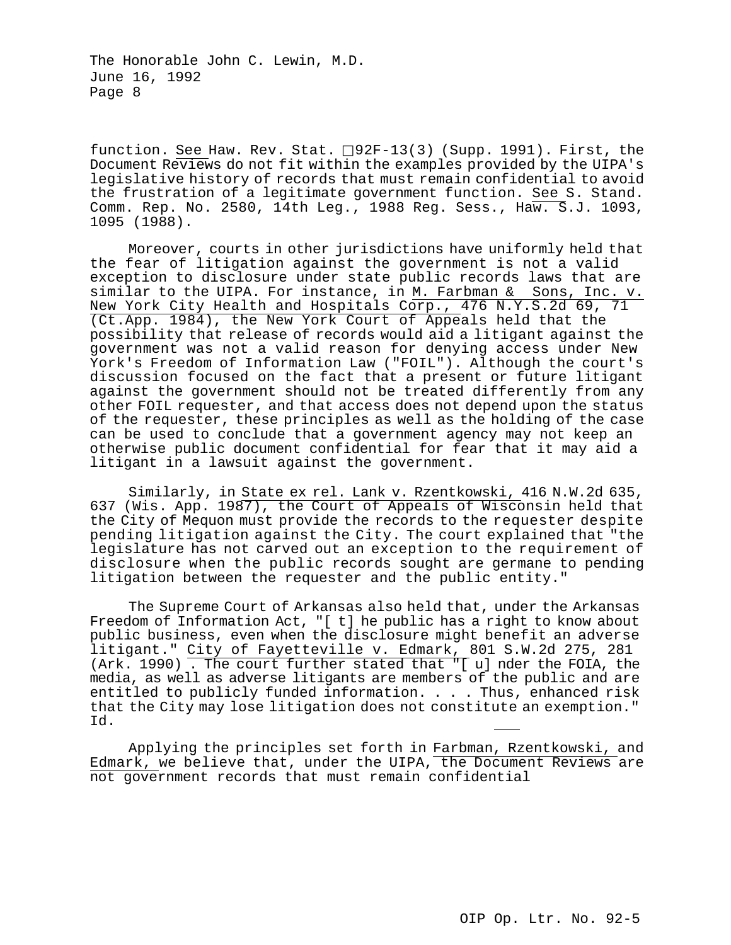function. See Haw. Rev. Stat.  $\Box$ 92F-13(3) (Supp. 1991). First, the Document Reviews do not fit within the examples provided by the UIPA's legislative history of records that must remain confidential to avoid the frustration of a legitimate government function. See S. Stand. Comm. Rep. No. 2580, 14th Leg., 1988 Reg. Sess., Haw. S.J. 1093, 1095 (1988).

Moreover, courts in other jurisdictions have uniformly held that the fear of litigation against the government is not a valid exception to disclosure under state public records laws that are similar to the UIPA. For instance, in M. Farbman  $\&$  Sons, Inc. v. New York City Health and Hospitals Corp., 476 N.Y.S.2d 69, 71 (Ct.App. 1984), the New York Court of Appeals held that the possibility that release of records would aid a litigant against the government was not a valid reason for denying access under New York's Freedom of Information Law ("FOIL"). Although the court's discussion focused on the fact that a present or future litigant against the government should not be treated differently from any other FOIL requester, and that access does not depend upon the status of the requester, these principles as well as the holding of the case can be used to conclude that a government agency may not keep an otherwise public document confidential for fear that it may aid a litigant in a lawsuit against the government.

Similarly, in State ex rel. Lank v. Rzentkowski, 416 N.W.2d 635, 637 (Wis. App. 1987), the Court of Appeals of Wisconsin held that the City of Mequon must provide the records to the requester despite pending litigation against the City. The court explained that "the legislature has not carved out an exception to the requirement of disclosure when the public records sought are germane to pending litigation between the requester and the public entity."

The Supreme Court of Arkansas also held that, under the Arkansas Freedom of Information Act, "[ t] he public has a right to know about public business, even when the disclosure might benefit an adverse litigant." City of Fayetteville v. Edmark, 801 S.W.2d 275, 281 (Ark. 1990) . The court further stated that "[ u] nder the FOIA, the media, as well as adverse litigants are members of the public and are entitled to publicly funded information. . . . Thus, enhanced risk that the City may lose litigation does not constitute an exemption." Id.

Applying the principles set forth in Farbman, Rzentkowski, and Edmark, we believe that, under the UIPA, the Document Reviews are not government records that must remain confidential